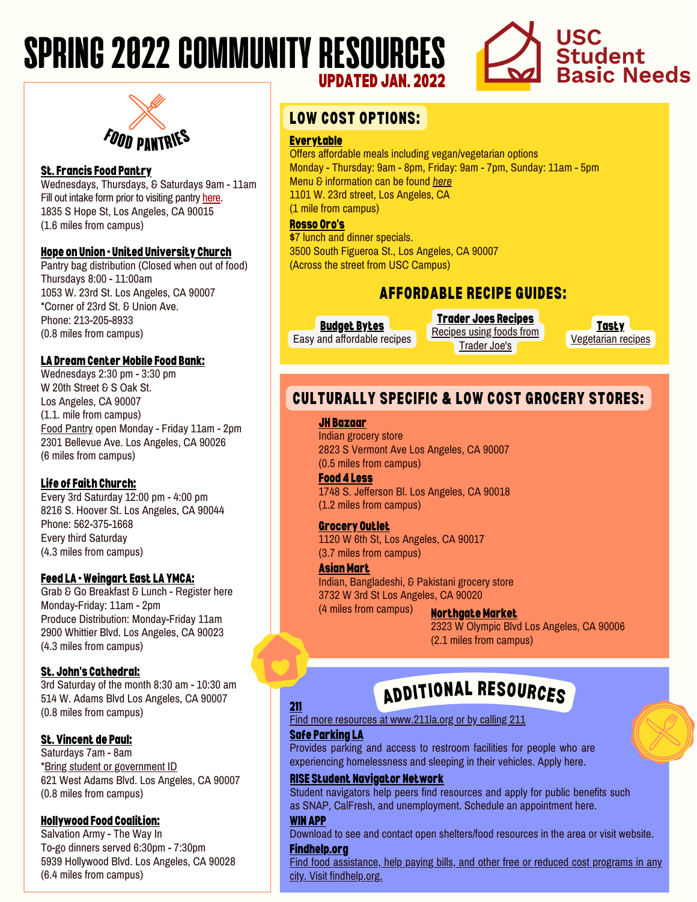# **SPRING 2022 COMMUNITY RESOURCES** UPDATED JAN. 2022





#### St. [Francis](https://www.stfranciscenterla.org/campaigns/family-well-being/) Food Pantry

Wednesdays, Thursdays, & Saturdays 9am - 11am Fill out intake form prior to visiting pantry [here](https://www.stfranciscenterla.org/campaigns/family-well-being/). 1835 S Hope St, Los Angeles, CA 90015 (1.6 miles from campus)

#### Hope on Union - United [University](https://www.stfranciscenterla.org/campaigns/family-well-being/) Church

Pantry bag distribution (Closed when out of food) Thursdays 8:00 - 11:00am 1053 W. 23rd St. Los Angeles, CA 90007 \*Corner of 23rd St. & Union Ave. Phone: 213-205-8933 (0.8 miles from campus)

#### LA Dream [Center](https://www.dreamcenter.org/relief/) Mobile Food Bank:

Wednesdays 2:30 pm - 3:30 pm W 20th Street & S Oak St. Los Angeles, CA 90007 (1.1. mile from campus) Food Pantry open Monday - Friday 11am - 2pm 2301 Bellevue Ave. Los Angeles, CA 90026 (6 miles from campus)

#### Life of Faith [Church:](https://www.lofnation.org/resources)

Every 3rd Saturday 12:00 pm - 4:00 pm 8216 S. Hoover St. Los Angeles, CA 90044 Phone: 562-375-1668 Every third Saturday (4.3 miles from campus)

#### Feed LA [-Weingart](https://ymcala.org/feedla) East LA YMCA:

Grab & Go Breakfast & Lunch - [Register](https://apm.activecommunities.com/ymcala/Activity_Search/218000?_ga=2.168059745.1966095480.1620250493-1312905061.1619039807) here Monday-Friday: 11am - 2pm Produce Distribution: Monday-Friday 11am 2900 Whittier Blvd. Los Angeles, CA 90023 (4.3 miles from campus)

#### St. John's [Cathedral:](https://www.stfranciscenterla.org/campaigns/family-well-being/)

3rd Saturday of the month 8:30 am - 10:30 am 514 W. Adams Blvd Los Angeles, CA 90007 (0.8 miles from campus)

#### St. [Vincent](https://www.stfranciscenterla.org/campaigns/family-well-being/) de Paul:

Saturdays 7am - 8am \*Bring student or government ID 621 West Adams Blvd. Los Angeles, CA 90007 (0.8 miles from campus)

#### [Hollywood](https://www.stfranciscenterla.org/campaigns/family-well-being/) Food Coalition:

Salvation Army - The Way In To-go dinners served 6:30pm - 7:30pm 5939 Hollywood Blvd. Los Angeles, CA 90028 (6.4 miles from campus)

# LOW COST OPTIONS:

#### **[Everytable](https://www.stfranciscenterla.org/campaigns/family-well-being/)**

Offers affordable meals including vegan/vegetarian options Monday - Thursday: 9am - 8pm, Friday: 9am - 7pm, Sunday: 11am - 5pm Menu & information can be found *[here](https://www.toasttab.com/everytable-south-la/v3)* 1101 W. 23rd street, Los Angeles, CA (1 mile from campus)

### [Rosso](https://hospitality.usc.edu/dining_locations/rosso-oros/) Oro's

**\$**7 lunch and dinner specials. 3500 South Figueroa St., Los Angeles, CA 90007 (Across the street from USC Campus)

### AFFORDABLE RECIPE GUIDES:

[Budget](https://www.budgetbytes.com/) Bytes Easy and affordable recipes

[T](https://www.traderjoes.com/home/recipes)rader Joes [Recipes](https://www.traderjoes.com/home/recipes) [Recipes](https://www.traderjoes.com/home/recipes) using foods from [Trader](https://www.traderjoes.com/home/recipes) Joe's

**[Tasty](https://tasty.co/topic/best-vegetarian)** [Vegetaria](https://tasty.co/topic/best-vegetarian)n [recipes](https://tasty.co/topic/best-vegetarian)

# CULTURALLY SPECIFIC & LOW COST GROCERY STORES:

#### JH [Bazaar](https://www.stfranciscenterla.org/campaigns/family-well-being/)

Indian grocery store 2823 S [Vermont](https://www.yelp.com/map/jh-bazaar-los-angeles-2) Ave Los Angeles, CA 90007 (0.5 miles from campus)

#### Food 4 Less 1748 S. Jefferson Bl. Los Angeles, CA 90018

(1.2 miles from campus)

#### Grocery Outlet

1120 W 6th St, Los Angeles, CA 90017 (3.7 miles from campus)

#### [Asian](https://www.yelp.com/biz/R-5fFTufaYPKV_pQB6iTSQ?hrid=Wq0_ePYW1beR8kOknHVPww&rh_ident=bangladeshi&rh_type=phrase) Mart

Indian, [Bangladeshi,](https://www.yelp.com/biz/R-5fFTufaYPKV_pQB6iTSQ?hrid=Wq0_ePYW1beR8kOknHVPww&rh_ident=bangladeshi&rh_type=phrase) & Pakistani grocery store 3732 W 3rd St Los Angeles, CA 90020

#### (4 miles from campus) [Northgate](https://www.stfranciscenterla.org/campaigns/family-well-being/) Market

2323 W Olympic Blvd Los Angeles, CA 90006 (2.1 miles from campus)

# ADDITIONAL RESOURCES

[211](http://www.211la.org/)

#### Find more resources at [www.211la.org](http://www.211la.org/) or by calling 211

#### Safe Parking LA

Provides parking and access to restroom facilities for people who are experiencing homelessness and sleeping in their vehicles. Apply [here.](https://www.safeparkingla.org/safe-parking-application/?utm_source=home&utm_medium=big-red-button&utm_campaign=default)

#### RISE Student Navigator Network

Student navigators help peers find resources and apply for public benefits such as SNAP, CalFresh, and unemployment. Schedule an appointment [here](https://risefree.org/snn-at-usc/).

#### WIN APP

Download to see and contact open shelters/food resources in the area or visit [website.](https://www.ourchildrenla.org/win-app-web/) [Findhelp.org](https://www.findhelp.org/)

Find food assistance, help paying bills, and other free or reduced cost programs in any city. Visit [findhelp.org.](https://www.findhelp.org/)